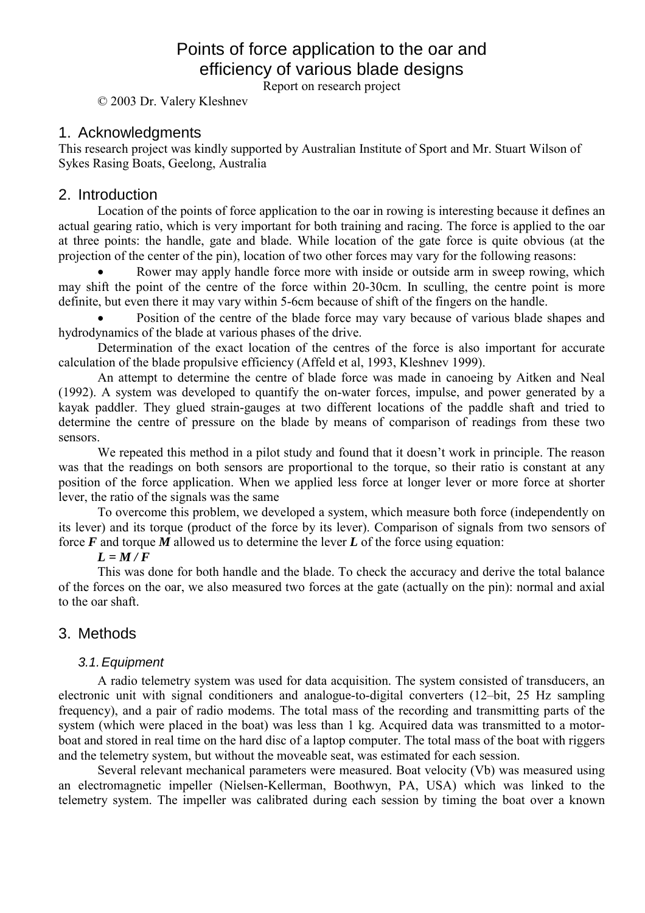# Points of force application to the oar and efficiency of various blade designs

Report on research project

© 2003 Dr. Valery Kleshnev

## 1. Acknowledgments

This research project was kindly supported by Australian Institute of Sport and Mr. Stuart Wilson of Sykes Rasing Boats, Geelong, Australia

### 2. Introduction

Location of the points of force application to the oar in rowing is interesting because it defines an actual gearing ratio, which is very important for both training and racing. The force is applied to the oar at three points: the handle, gate and blade. While location of the gate force is quite obvious (at the projection of the center of the pin), location of two other forces may vary for the following reasons:

Rower may apply handle force more with inside or outside arm in sweep rowing, which may shift the point of the centre of the force within 20-30cm. In sculling, the centre point is more definite, but even there it may vary within 5-6cm because of shift of the fingers on the handle.

• Position of the centre of the blade force may vary because of various blade shapes and hydrodynamics of the blade at various phases of the drive.

Determination of the exact location of the centres of the force is also important for accurate calculation of the blade propulsive efficiency (Affeld et al, 1993, Kleshnev 1999).

An attempt to determine the centre of blade force was made in canoeing by Aitken and Neal (1992). A system was developed to quantify the on-water forces, impulse, and power generated by a kayak paddler. They glued strain-gauges at two different locations of the paddle shaft and tried to determine the centre of pressure on the blade by means of comparison of readings from these two sensors.

We repeated this method in a pilot study and found that it doesn't work in principle. The reason was that the readings on both sensors are proportional to the torque, so their ratio is constant at any position of the force application. When we applied less force at longer lever or more force at shorter lever, the ratio of the signals was the same

To overcome this problem, we developed a system, which measure both force (independently on its lever) and its torque (product of the force by its lever). Comparison of signals from two sensors of force  $\vec{F}$  and torque  $\vec{M}$  allowed us to determine the lever  $\vec{L}$  of the force using equation:

#### $L = M/F$

This was done for both handle and the blade. To check the accuracy and derive the total balance of the forces on the oar, we also measured two forces at the gate (actually on the pin): normal and axial to the oar shaft.

# 3. Methods

#### *3.1. Equipment*

A radio telemetry system was used for data acquisition. The system consisted of transducers, an electronic unit with signal conditioners and analogue-to-digital converters (12–bit, 25 Hz sampling frequency), and a pair of radio modems. The total mass of the recording and transmitting parts of the system (which were placed in the boat) was less than 1 kg. Acquired data was transmitted to a motorboat and stored in real time on the hard disc of a laptop computer. The total mass of the boat with riggers and the telemetry system, but without the moveable seat, was estimated for each session.

Several relevant mechanical parameters were measured. Boat velocity (Vb) was measured using an electromagnetic impeller (Nielsen-Kellerman, Boothwyn, PA, USA) which was linked to the telemetry system. The impeller was calibrated during each session by timing the boat over a known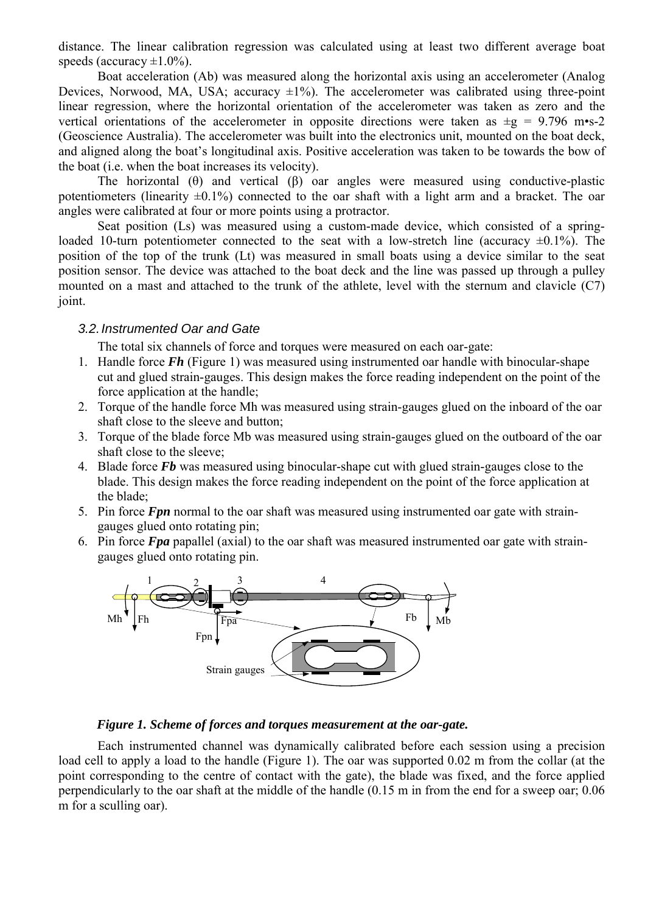distance. The linear calibration regression was calculated using at least two different average boat speeds (accuracy  $\pm 1.0\%$ ).

Boat acceleration (Ab) was measured along the horizontal axis using an accelerometer (Analog Devices, Norwood, MA, USA; accuracy  $\pm 1\%$ ). The accelerometer was calibrated using three-point linear regression, where the horizontal orientation of the accelerometer was taken as zero and the vertical orientations of the accelerometer in opposite directions were taken as  $\pm$ g = 9.796 m•s-2 (Geoscience Australia). The accelerometer was built into the electronics unit, mounted on the boat deck, and aligned along the boat's longitudinal axis. Positive acceleration was taken to be towards the bow of the boat (i.e. when the boat increases its velocity).

The horizontal ( $\theta$ ) and vertical ( $\beta$ ) oar angles were measured using conductive-plastic potentiometers (linearity  $\pm 0.1\%$ ) connected to the oar shaft with a light arm and a bracket. The oar angles were calibrated at four or more points using a protractor.

Seat position (Ls) was measured using a custom-made device, which consisted of a springloaded 10-turn potentiometer connected to the seat with a low-stretch line (accuracy  $\pm 0.1\%$ ). The position of the top of the trunk (Lt) was measured in small boats using a device similar to the seat position sensor. The device was attached to the boat deck and the line was passed up through a pulley mounted on a mast and attached to the trunk of the athlete, level with the sternum and clavicle (C7) joint.

#### *3.2. Instrumented Oar and Gate*

The total six channels of force and torques were measured on each oar-gate:

- 1. Handle force *Fh* (Figure 1) was measured using instrumented oar handle with binocular-shape cut and glued strain-gauges. This design makes the force reading independent on the point of the force application at the handle;
- 2. Torque of the handle force Mh was measured using strain-gauges glued on the inboard of the oar shaft close to the sleeve and button;
- 3. Torque of the blade force Mb was measured using strain-gauges glued on the outboard of the oar shaft close to the sleeve;
- 4. Blade force *Fb* was measured using binocular-shape cut with glued strain-gauges close to the blade. This design makes the force reading independent on the point of the force application at the blade;
- 5. Pin force *Fpn* normal to the oar shaft was measured using instrumented oar gate with straingauges glued onto rotating pin;
- 6. Pin force *Fpa* papallel (axial) to the oar shaft was measured instrumented oar gate with straingauges glued onto rotating pin.



#### *Figure 1. Scheme of forces and torques measurement at the oar-gate.*

Each instrumented channel was dynamically calibrated before each session using a precision load cell to apply a load to the handle (Figure 1). The oar was supported 0.02 m from the collar (at the point corresponding to the centre of contact with the gate), the blade was fixed, and the force applied perpendicularly to the oar shaft at the middle of the handle (0.15 m in from the end for a sweep oar; 0.06 m for a sculling oar).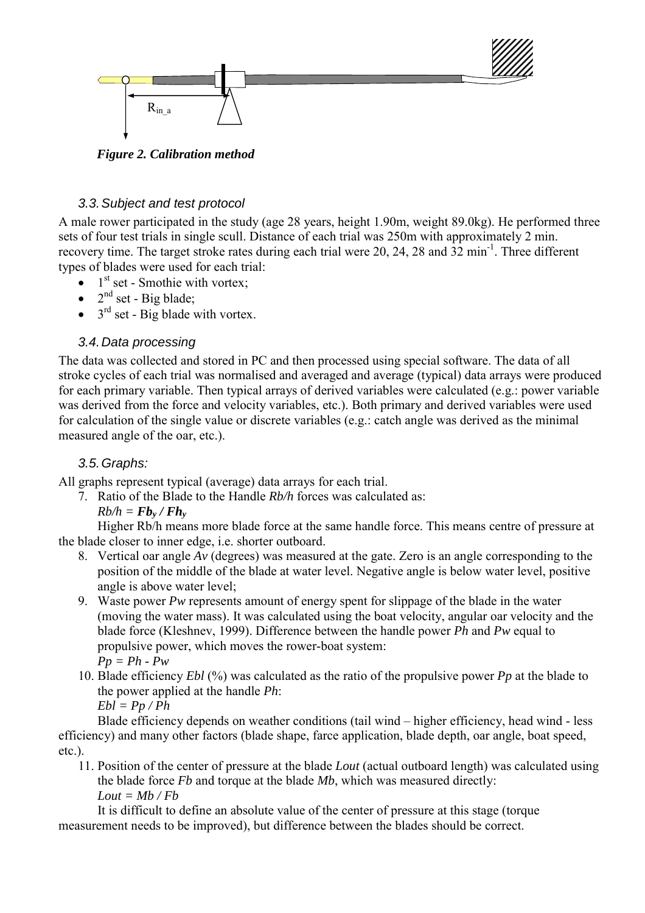

*Figure 2. Calibration method* 

# *3.3. Subject and test protocol*

A male rower participated in the study (age 28 years, height 1.90m, weight 89.0kg). He performed three sets of four test trials in single scull. Distance of each trial was 250m with approximately 2 min. recovery time. The target stroke rates during each trial were 20, 24, 28 and 32 min<sup>-1</sup>. Three different types of blades were used for each trial:

- $\bullet$  1<sup>st</sup> set Smothie with vortex;
- $2<sup>nd</sup>$  set Big blade;
- $\bullet$  3<sup>rd</sup> set Big blade with vortex.

# *3.4. Data processing*

The data was collected and stored in PC and then processed using special software. The data of all stroke cycles of each trial was normalised and averaged and average (typical) data arrays were produced for each primary variable. Then typical arrays of derived variables were calculated (e.g.: power variable was derived from the force and velocity variables, etc.). Both primary and derived variables were used for calculation of the single value or discrete variables (e.g.: catch angle was derived as the minimal measured angle of the oar, etc.).

# *3.5. Graphs:*

All graphs represent typical (average) data arrays for each trial.

7. Ratio of the Blade to the Handle *Rb/h* forces was calculated as:

 $Rb/h = Fb_v / Fh_v$ 

Higher Rb/h means more blade force at the same handle force. This means centre of pressure at the blade closer to inner edge, i.e. shorter outboard.

- 8. Vertical oar angle *Av* (degrees) was measured at the gate. Zero is an angle corresponding to the position of the middle of the blade at water level. Negative angle is below water level, positive angle is above water level;
- 9. Waste power *Pw* represents amount of energy spent for slippage of the blade in the water (moving the water mass). It was calculated using the boat velocity, angular oar velocity and the blade force (Kleshnev, 1999). Difference between the handle power *Ph* and *Pw* equal to propulsive power, which moves the rower-boat system: *Pp = Ph - Pw*
- 10. Blade efficiency *Ebl* (%) was calculated as the ratio of the propulsive power *Pp* at the blade to the power applied at the handle *Ph*:

```
Ebl = Pp / Ph
```
Blade efficiency depends on weather conditions (tail wind – higher efficiency, head wind - less efficiency) and many other factors (blade shape, farce application, blade depth, oar angle, boat speed, etc.).

11. Position of the center of pressure at the blade *Lout* (actual outboard length) was calculated using the blade force *Fb* and torque at the blade *Mb*, which was measured directly:  $Lout = Mb / Fb$ 

It is difficult to define an absolute value of the center of pressure at this stage (torque measurement needs to be improved), but difference between the blades should be correct.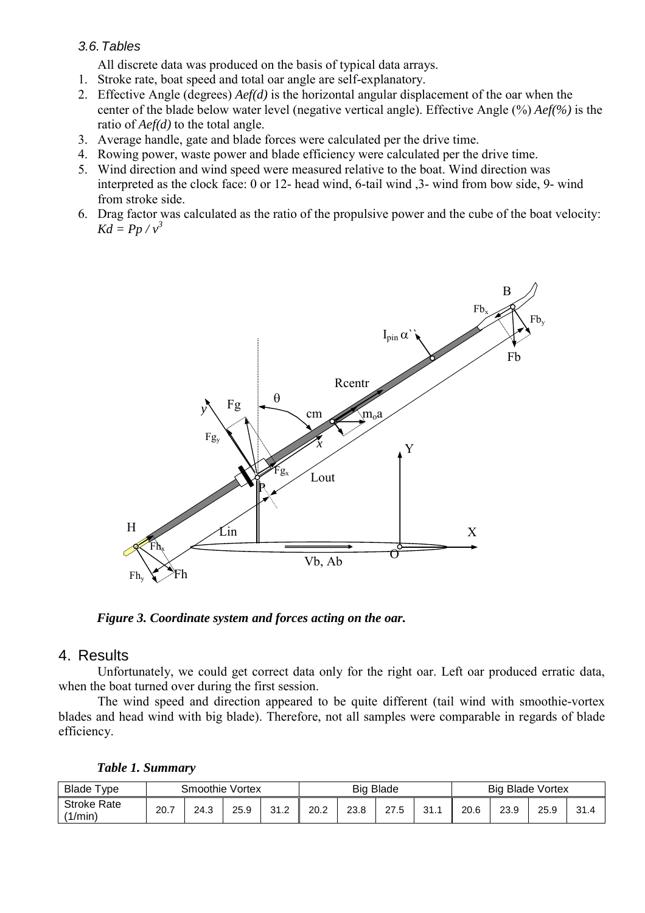#### *3.6. Tables*

All discrete data was produced on the basis of typical data arrays.

- 1. Stroke rate, boat speed and total oar angle are self-explanatory.
- 2. Effective Angle (degrees) *Aef(d)* is the horizontal angular displacement of the oar when the center of the blade below water level (negative vertical angle). Effective Angle (%) *Aef(%)* is the ratio of *Aef(d)* to the total angle.
- 3. Average handle, gate and blade forces were calculated per the drive time.
- 4. Rowing power, waste power and blade efficiency were calculated per the drive time.
- 5. Wind direction and wind speed were measured relative to the boat. Wind direction was interpreted as the clock face: 0 or 12- head wind, 6-tail wind ,3- wind from bow side, 9- wind from stroke side.
- 6. Drag factor was calculated as the ratio of the propulsive power and the cube of the boat velocity:  $Kd = Pp / v^3$



*Figure 3. Coordinate system and forces acting on the oar.* 

#### 4. Results

Unfortunately, we could get correct data only for the right oar. Left oar produced erratic data, when the boat turned over during the first session.

The wind speed and direction appeared to be quite different (tail wind with smoothie-vortex blades and head wind with big blade). Therefore, not all samples were comparable in regards of blade efficiency.

|  |  |  | Table 1. Summary |
|--|--|--|------------------|
|--|--|--|------------------|

| Blade T'<br>vpe               | Smoothie Vortex |      |      |               | <b>Big Blade</b> |      |      |      | <b>Big Blade Vortex</b> |      |      |      |
|-------------------------------|-----------------|------|------|---------------|------------------|------|------|------|-------------------------|------|------|------|
| <b>Stroke Rate</b><br>(1/min) | 20.7            | 24.3 | 25.9 | າ າ<br>ے ، رب | 20.2             | 23.8 | 27.5 | 31.7 | 20.6                    | 23.9 | 25.9 | 31.4 |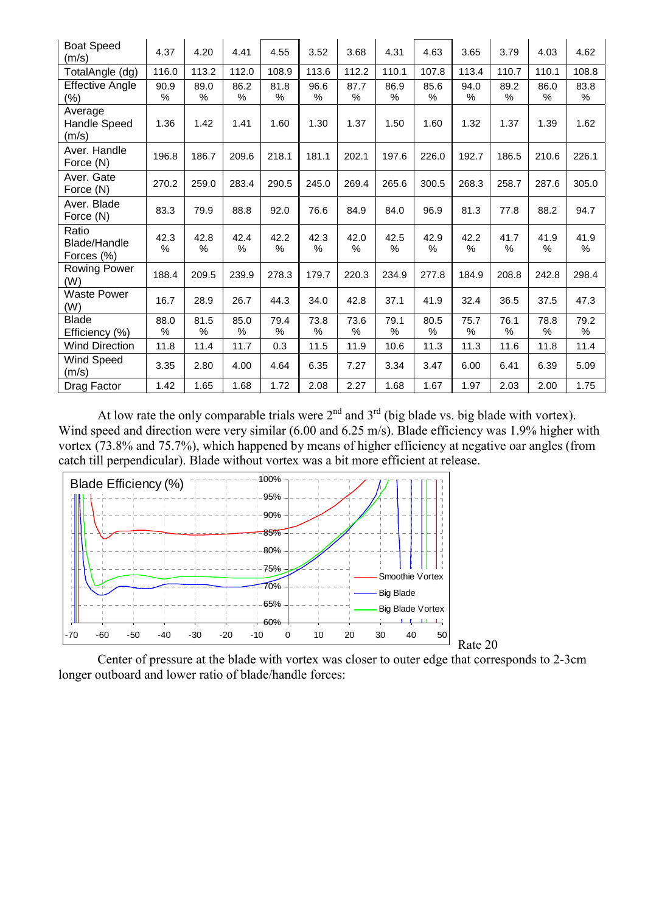| <b>Boat Speed</b><br>(m/s)                 | 4.37         | 4.20         | 4.41      | 4.55      | 3.52         | 3.68         | 4.31         | 4.63         | 3.65      | 3.79         | 4.03         | 4.62         |
|--------------------------------------------|--------------|--------------|-----------|-----------|--------------|--------------|--------------|--------------|-----------|--------------|--------------|--------------|
| TotalAngle (dg)                            | 116.0        | 113.2        | 112.0     | 108.9     | 113.6        | 112.2        | 110.1        | 107.8        | 113.4     | 110.7        | 110.1        | 108.8        |
| <b>Effective Angle</b><br>(%)              | 90.9<br>%    | 89.0<br>$\%$ | 86.2<br>% | 81.8<br>% | 96.6<br>%    | 87.7<br>$\%$ | 86.9<br>%    | 85.6<br>$\%$ | 94.0<br>% | 89.2<br>$\%$ | 86.0<br>%    | 83.8<br>%    |
| Average<br><b>Handle Speed</b><br>(m/s)    | 1.36         | 1.42         | 1.41      | 1.60      | 1.30         | 1.37         | 1.50         | 1.60         | 1.32      | 1.37         | 1.39         | 1.62         |
| Aver. Handle<br>Force (N)                  | 196.8        | 186.7        | 209.6     | 218.1     | 181.1        | 202.1        | 197.6        | 226.0        | 192.7     | 186.5        | 210.6        | 226.1        |
| Aver. Gate<br>Force (N)                    | 270.2        | 259.0        | 283.4     | 290.5     | 245.0        | 269.4        | 265.6        | 300.5        | 268.3     | 258.7        | 287.6        | 305.0        |
| Aver. Blade<br>Force (N)                   | 83.3         | 79.9         | 88.8      | 92.0      | 76.6         | 84.9         | 84.0         | 96.9         | 81.3      | 77.8         | 88.2         | 94.7         |
| Ratio<br><b>Blade/Handle</b><br>Forces (%) | 42.3<br>$\%$ | 42.8<br>$\%$ | 42.4<br>% | 42.2<br>% | 42.3<br>%    | 42.0<br>$\%$ | 42.5<br>$\%$ | 42.9<br>%    | 42.2<br>% | 41.7<br>$\%$ | 41.9<br>$\%$ | 41.9<br>$\%$ |
| Rowing Power<br>(W)                        | 188.4        | 209.5        | 239.9     | 278.3     | 179.7        | 220.3        | 234.9        | 277.8        | 184.9     | 208.8        | 242.8        | 298.4        |
| <b>Waste Power</b><br>(W)                  | 16.7         | 28.9         | 26.7      | 44.3      | 34.0         | 42.8         | 37.1         | 41.9         | 32.4      | 36.5         | 37.5         | 47.3         |
| <b>Blade</b><br>Efficiency (%)             | 88.0<br>%    | 81.5<br>%    | 85.0<br>% | 79.4<br>% | 73.8<br>$\%$ | 73.6<br>%    | 79.1<br>%    | 80.5<br>%    | 75.7<br>% | 76.1<br>$\%$ | 78.8<br>%    | 79.2<br>$\%$ |
| <b>Wind Direction</b>                      | 11.8         | 11.4         | 11.7      | 0.3       | 11.5         | 11.9         | 10.6         | 11.3         | 11.3      | 11.6         | 11.8         | 11.4         |
| Wind Speed<br>(m/s)                        | 3.35         | 2.80         | 4.00      | 4.64      | 6.35         | 7.27         | 3.34         | 3.47         | 6.00      | 6.41         | 6.39         | 5.09         |
| Drag Factor                                | 1.42         | 1.65         | 1.68      | 1.72      | 2.08         | 2.27         | 1.68         | 1.67         | 1.97      | 2.03         | 2.00         | 1.75         |

At low rate the only comparable trials were  $2<sup>nd</sup>$  and  $3<sup>rd</sup>$  (big blade vs. big blade with vortex). Wind speed and direction were very similar (6.00 and 6.25 m/s). Blade efficiency was 1.9% higher with vortex (73.8% and 75.7%), which happened by means of higher efficiency at negative oar angles (from catch till perpendicular). Blade without vortex was a bit more efficient at release.



Center of pressure at the blade with vortex was closer to outer edge that corresponds to 2-3cm longer outboard and lower ratio of blade/handle forces: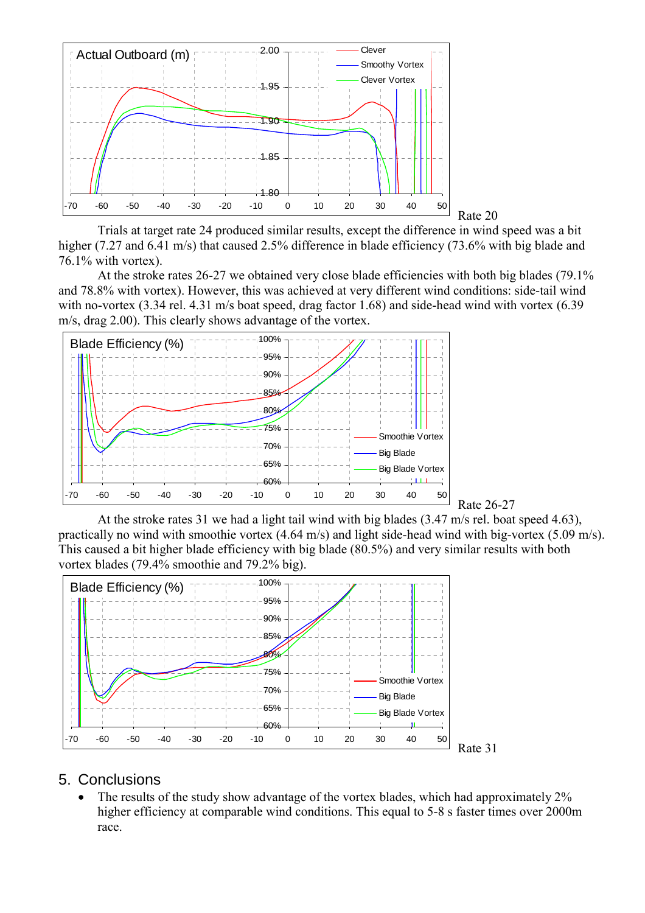

Trials at target rate 24 produced similar results, except the difference in wind speed was a bit higher (7.27 and 6.41 m/s) that caused 2.5% difference in blade efficiency (73.6% with big blade and 76.1% with vortex).

At the stroke rates 26-27 we obtained very close blade efficiencies with both big blades (79.1% and 78.8% with vortex). However, this was achieved at very different wind conditions: side-tail wind with no-vortex (3.34 rel. 4.31 m/s boat speed, drag factor 1.68) and side-head wind with vortex (6.39 m/s, drag 2.00). This clearly shows advantage of the vortex.





At the stroke rates 31 we had a light tail wind with big blades (3.47 m/s rel. boat speed 4.63), practically no wind with smoothie vortex (4.64 m/s) and light side-head wind with big-vortex (5.09 m/s). This caused a bit higher blade efficiency with big blade (80.5%) and very similar results with both vortex blades (79.4% smoothie and 79.2% big).



#### 5. Conclusions

• The results of the study show advantage of the vortex blades, which had approximately 2% higher efficiency at comparable wind conditions. This equal to 5-8 s faster times over 2000m race.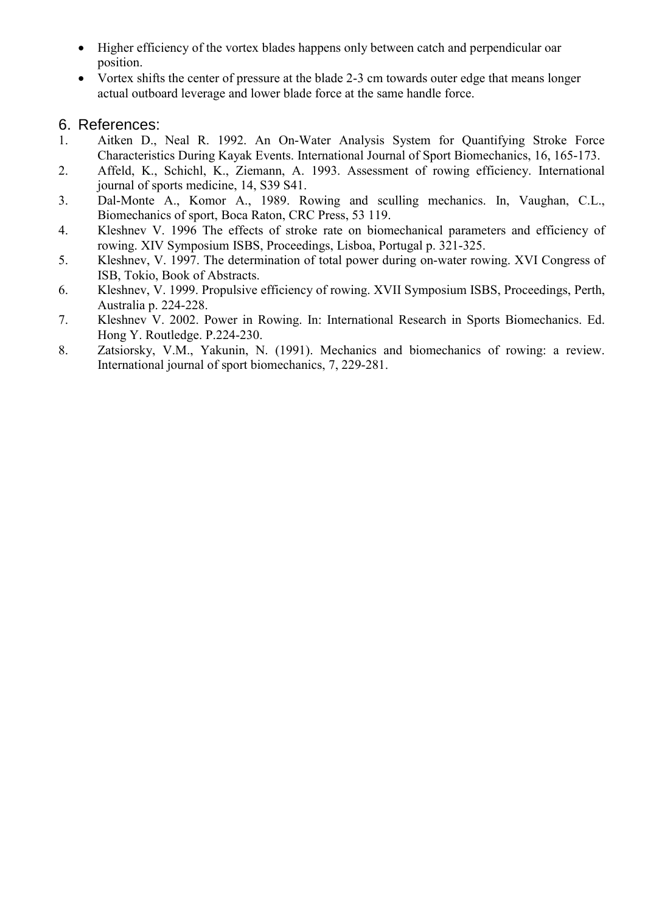- Higher efficiency of the vortex blades happens only between catch and perpendicular oar position.
- Vortex shifts the center of pressure at the blade 2-3 cm towards outer edge that means longer actual outboard leverage and lower blade force at the same handle force.

# 6. References:

- 1. Aitken D., Neal R. 1992. An On-Water Analysis System for Quantifying Stroke Force Characteristics During Kayak Events. International Journal of Sport Biomechanics, 16, 165-173.
- 2. Affeld, K., Schichl, K., Ziemann, A. 1993. Assessment of rowing efficiency. International journal of sports medicine, 14, S39 S41.
- 3. Dal-Monte A., Komor A., 1989. Rowing and sculling mechanics. In, Vaughan, C.L., Biomechanics of sport, Boca Raton, CRC Press, 53 119.
- 4. Kleshnev V. 1996 The effects of stroke rate on biomechanical parameters and efficiency of rowing. XIV Symposium ISBS, Proceedings, Lisboa, Portugal p. 321-325.
- 5. Kleshnev, V. 1997. The determination of total power during on-water rowing. XVI Congress of ISB, Tokio, Book of Abstracts.
- 6. Kleshnev, V. 1999. Propulsive efficiency of rowing. XVII Symposium ISBS, Proceedings, Perth, Australia p. 224-228.
- 7. Kleshnev V. 2002. Power in Rowing. In: International Research in Sports Biomechanics. Ed. Hong Y. Routledge. P.224-230.
- 8. Zatsiorsky, V.M., Yakunin, N. (1991). Mechanics and biomechanics of rowing: a review. International journal of sport biomechanics, 7, 229-281.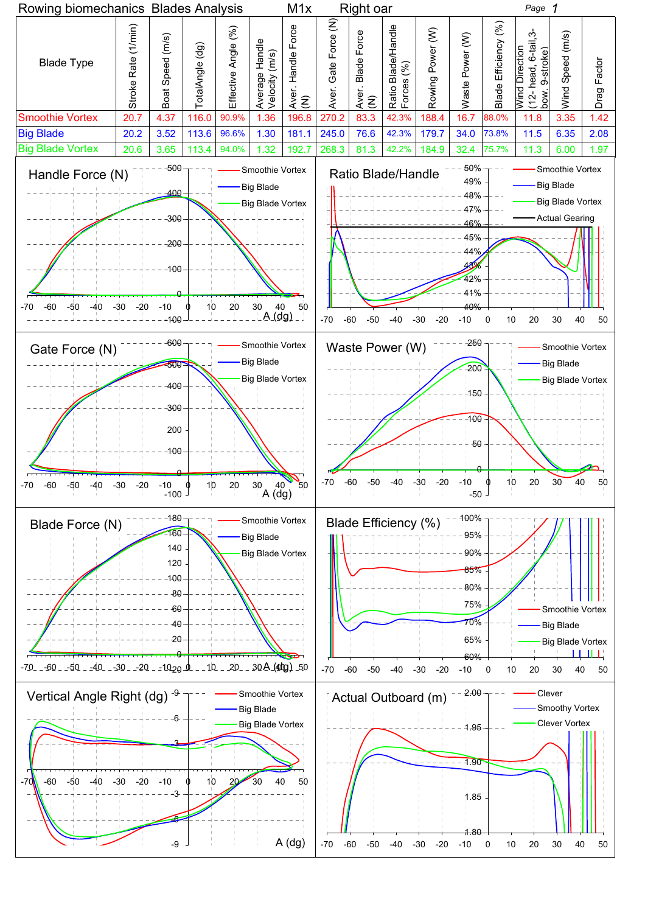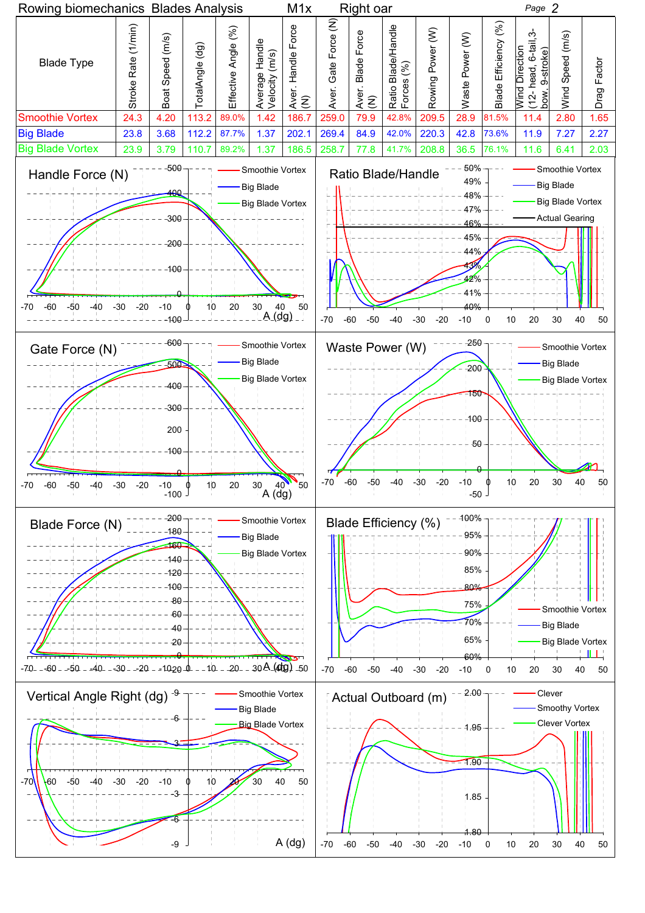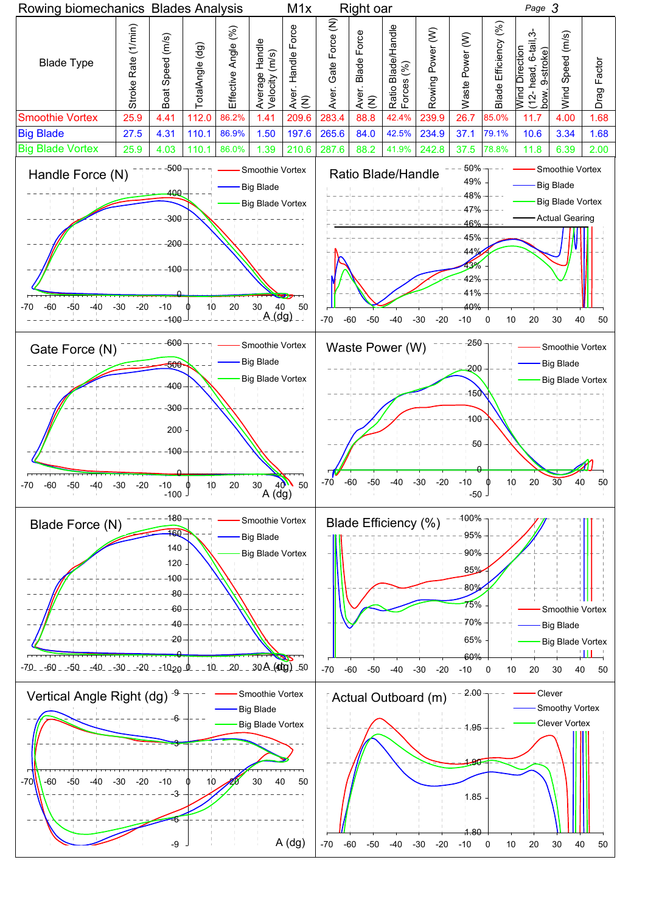